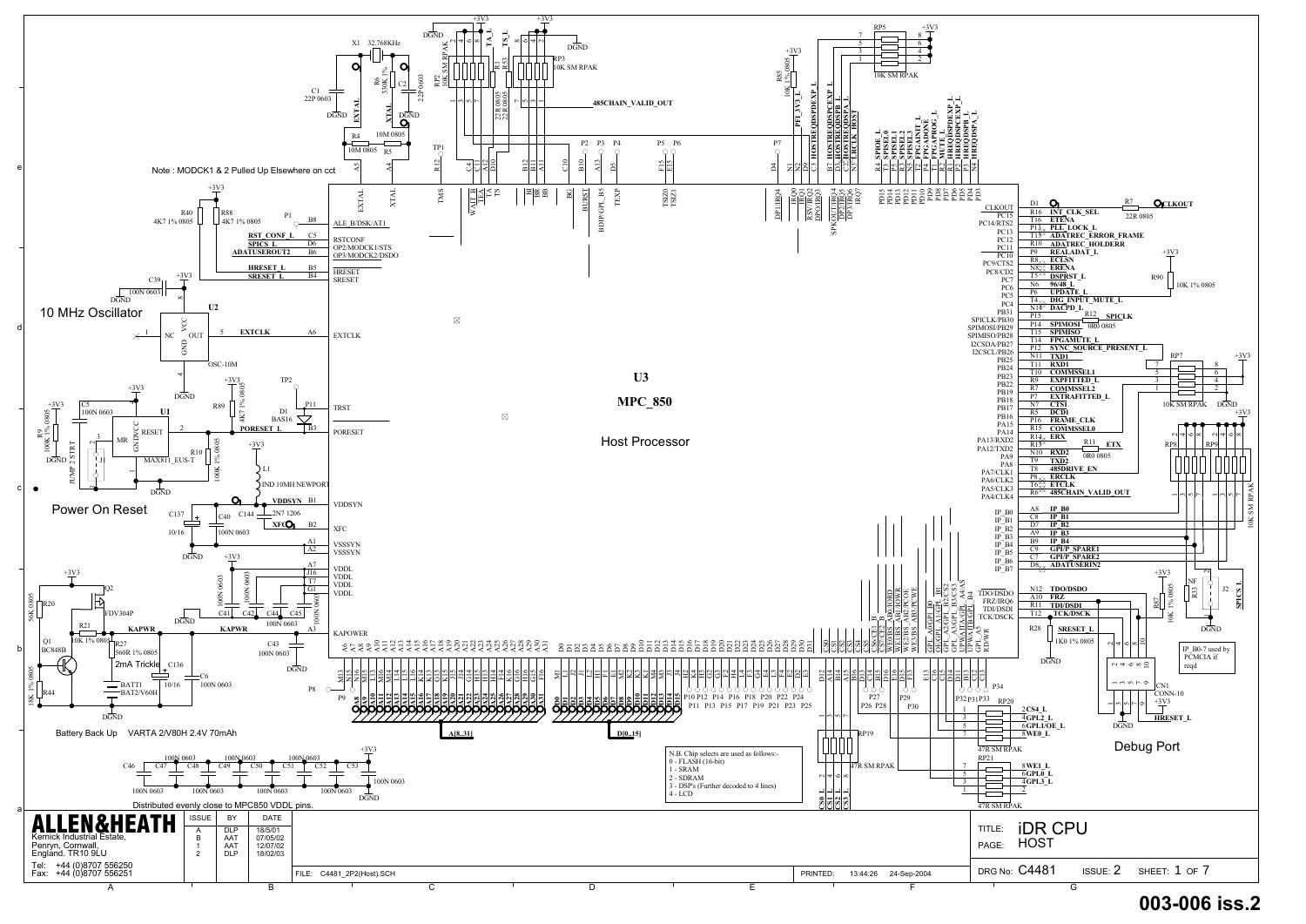

# D29 **003-006 iss.2**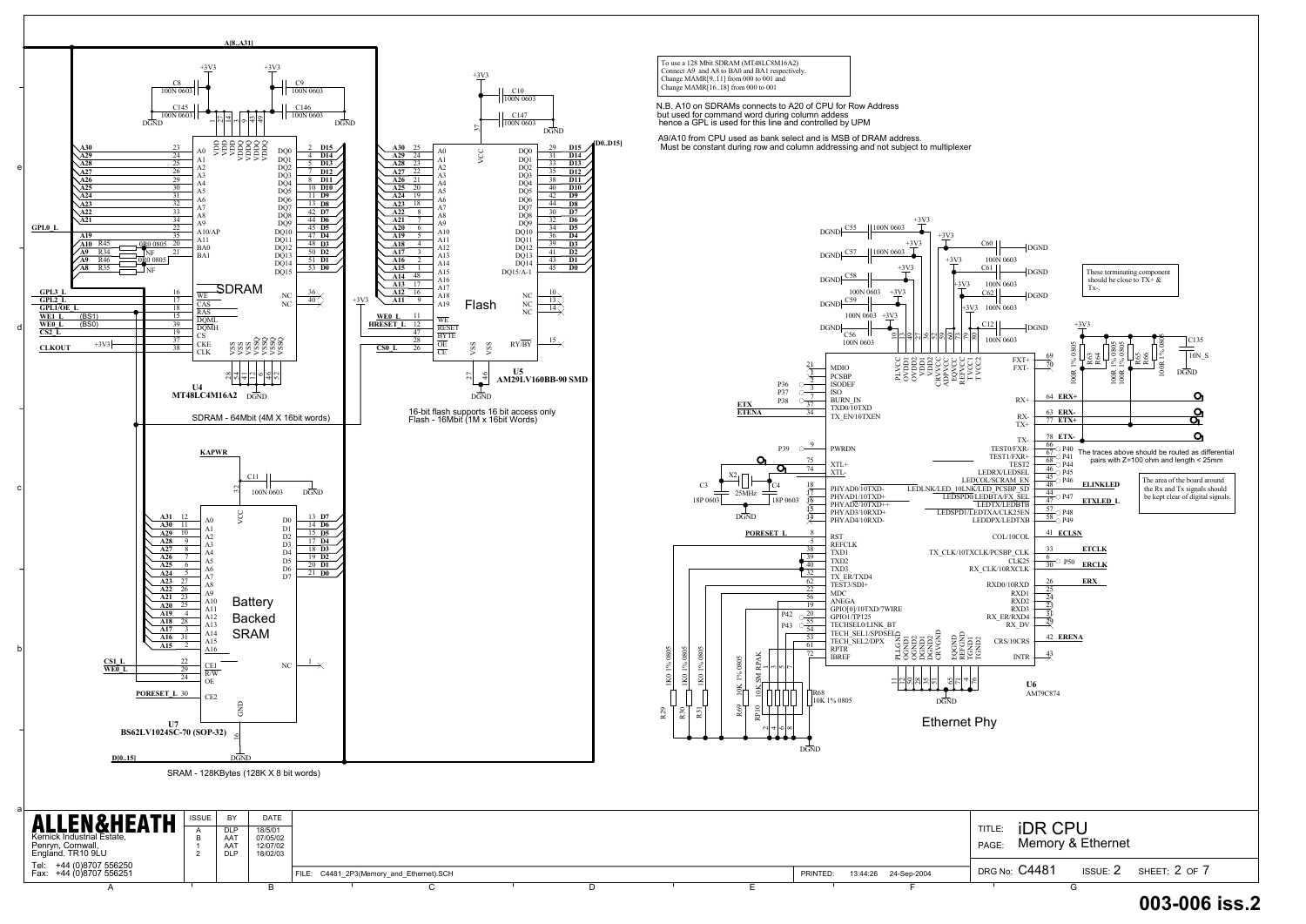



| <b>ALLEN&amp;HEATH</b>                                               | <b>ISSUE</b> | BY                                     | <b>DATE</b>                                 |  |                                          |  |  |          |                      |                               |                            |               |
|----------------------------------------------------------------------|--------------|----------------------------------------|---------------------------------------------|--|------------------------------------------|--|--|----------|----------------------|-------------------------------|----------------------------|---------------|
| Kernick Industrial Estate,<br>Penryn, Cornwall,<br>England. TR10 9LU |              | <b>DLP</b><br>AAT<br>AAT<br><b>DLP</b> | 18/5/01<br>07/05/02<br>12/07/02<br>18/02/03 |  |                                          |  |  |          |                      | iDR.<br><b>TITLE</b><br>PAGE: | ' CPU<br>Memory & Ethernet |               |
| Tel: +44 (0)8707 556250<br>Fax: +44 (0)8707 556251                   |              |                                        |                                             |  | FILE: C4481_2P3(Memory_and_Ethernet).SCH |  |  | PRINTED: | 13:44:26 24-Sep-2004 | <b>DRG No: C4481</b>          | ISSUE: $2$                 | SHEET: 2 OF 7 |
|                                                                      |              |                                        |                                             |  |                                          |  |  |          |                      |                               |                            |               |

+3V3

TVCCI<br>TVCCI  $\frac{80}{10002}$ 

4

REFGND

## D30 **003-006 iss.2**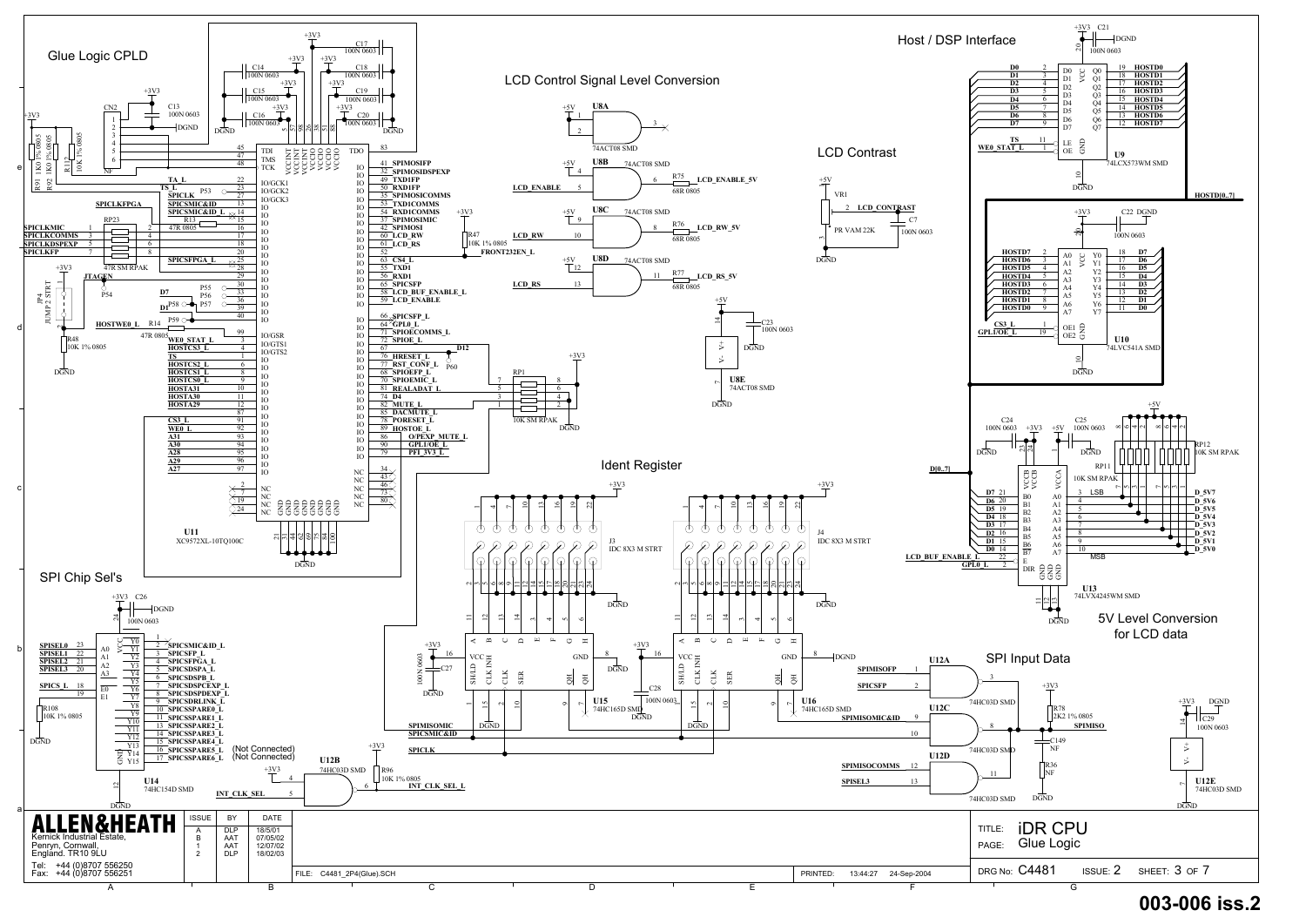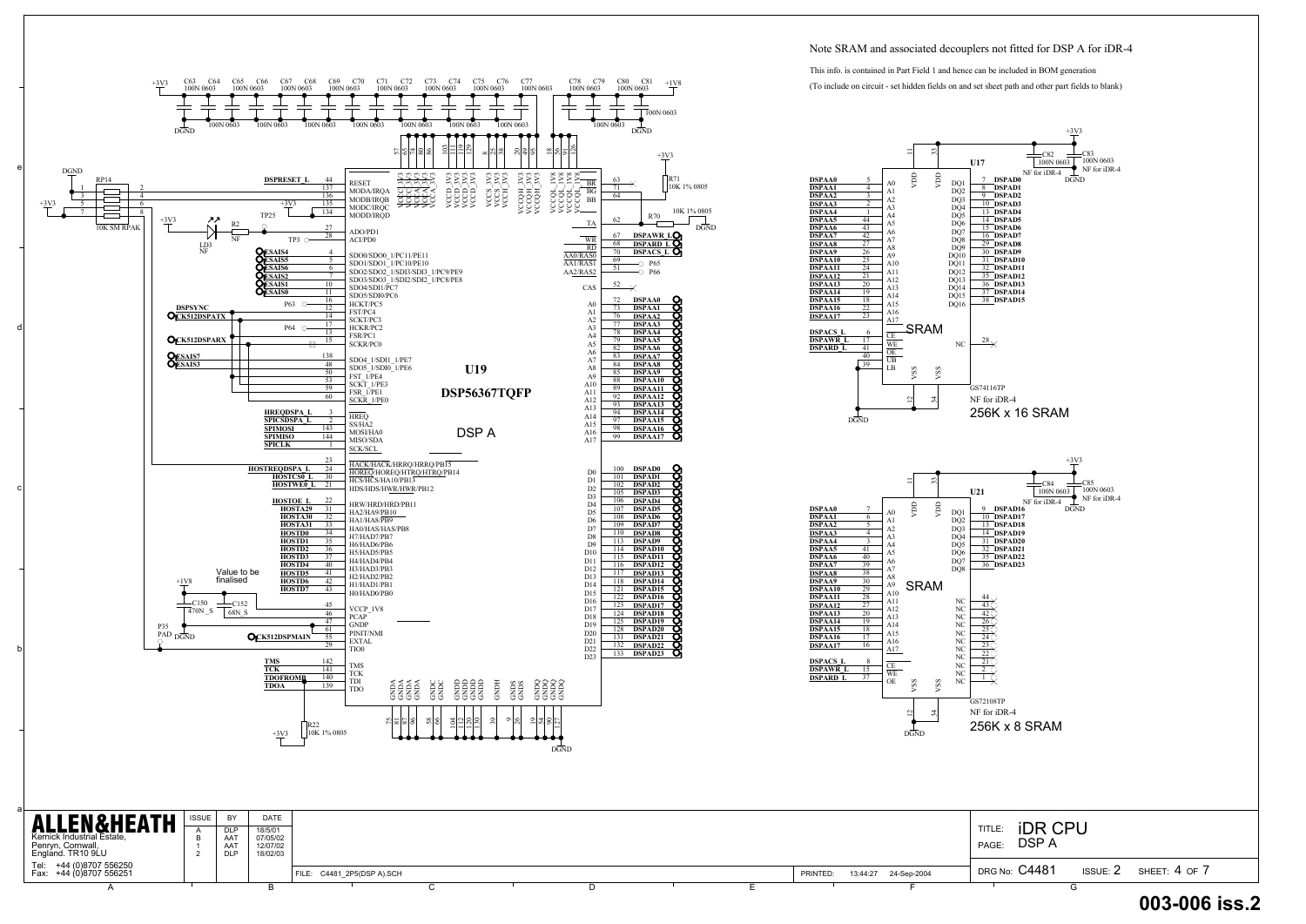a



| <b>ALLEN&amp;HEATH</b><br>Kernick Industrial Estate,<br>Penryn, Cornwall,<br>England. TR10 9LU | <b>ISSUE</b> | BY<br><b>DLP</b><br>AA'<br>AA<br><b>DLP</b> | DATE<br>18/5/01<br>07/05/02<br>12/07/02<br>18/02/03 |                            |  |  |          |                      | iDR.<br>TITLE.<br><b>DSPA</b><br>PAGE: | <b>CPL</b>      |               |
|------------------------------------------------------------------------------------------------|--------------|---------------------------------------------|-----------------------------------------------------|----------------------------|--|--|----------|----------------------|----------------------------------------|-----------------|---------------|
| Tel: +44 (0)8707 556250<br>Fax: +44 (0)8707 556251                                             |              |                                             |                                                     | FILE: C4481_2P5(DSP A).SCH |  |  | PRINTED: | 13:44:27 24-Sep-2004 | <b>DRG No: C4481</b>                   | <b>ISSUE: 2</b> | SHEET: 4 OF 7 |
|                                                                                                |              |                                             |                                                     |                            |  |  |          |                      |                                        |                 |               |





#### Note SRAM and associated decouplers not fitted for DSP A for iDR-4

This info. is contained in Part Field 1 and hence can be included in BOM generation

### D32 **003-006 iss.2**

(To include on circuit - set hidden fields on and set sheet path and other part fields to blank)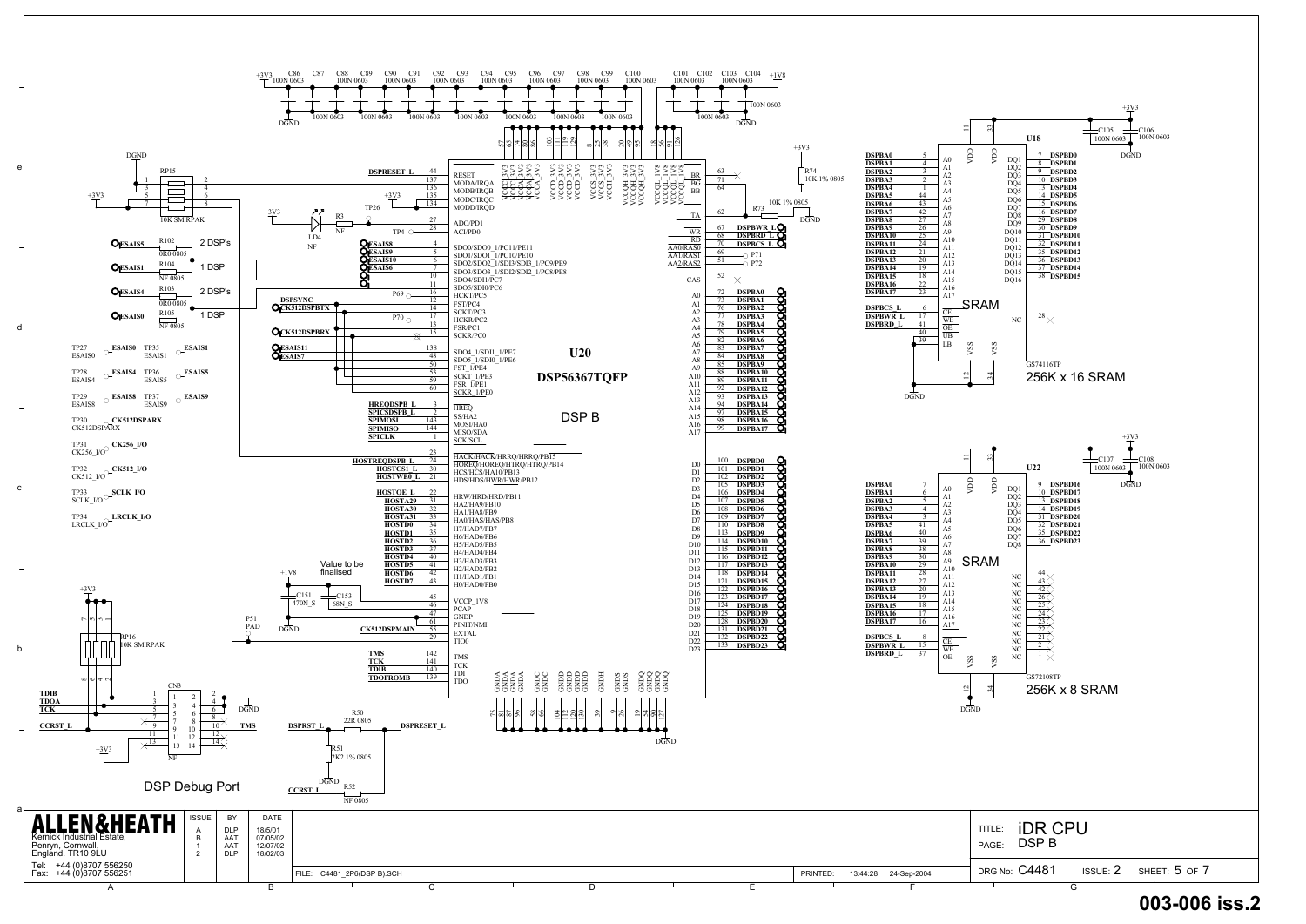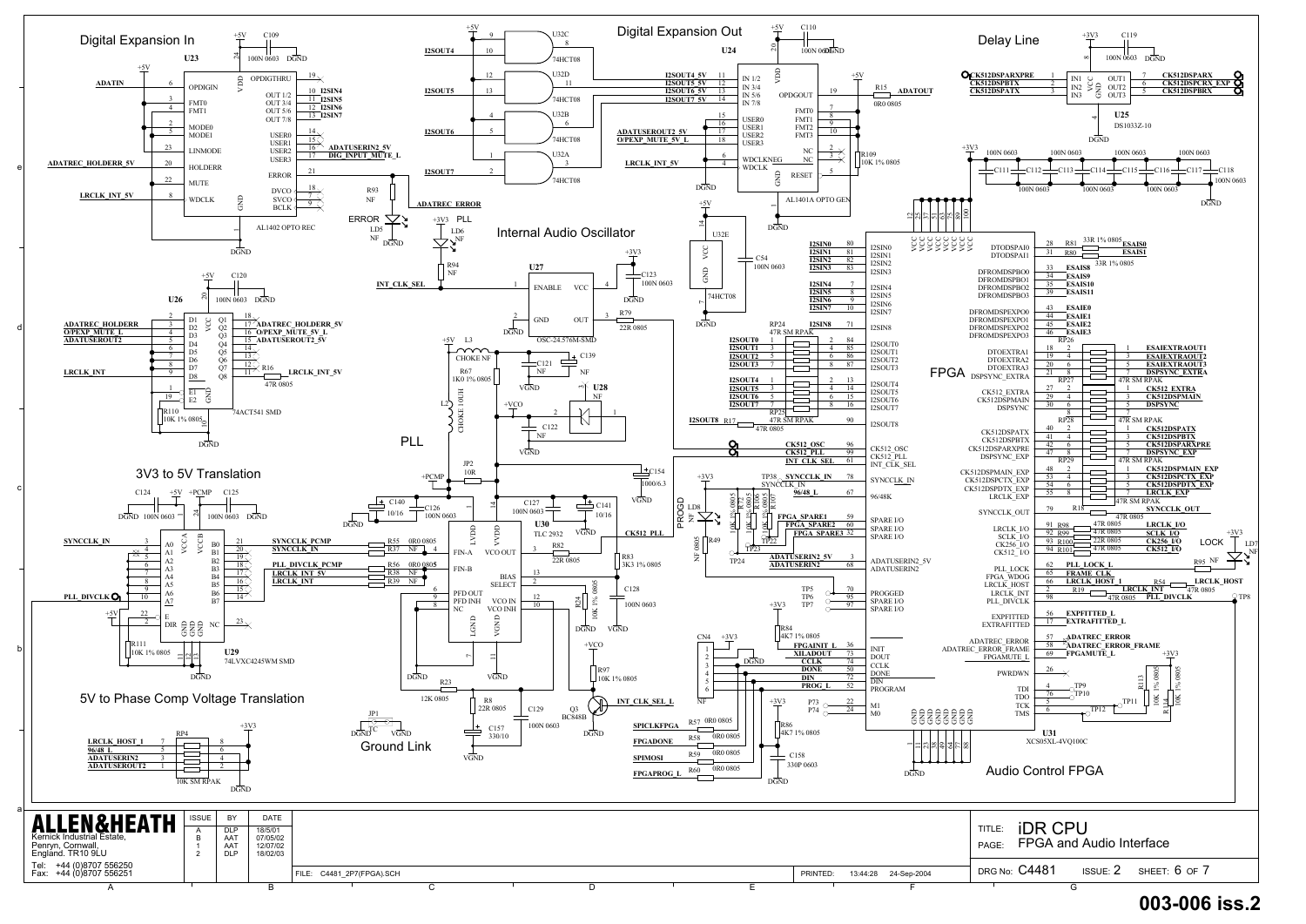

#### D34 **003-006 iss.2**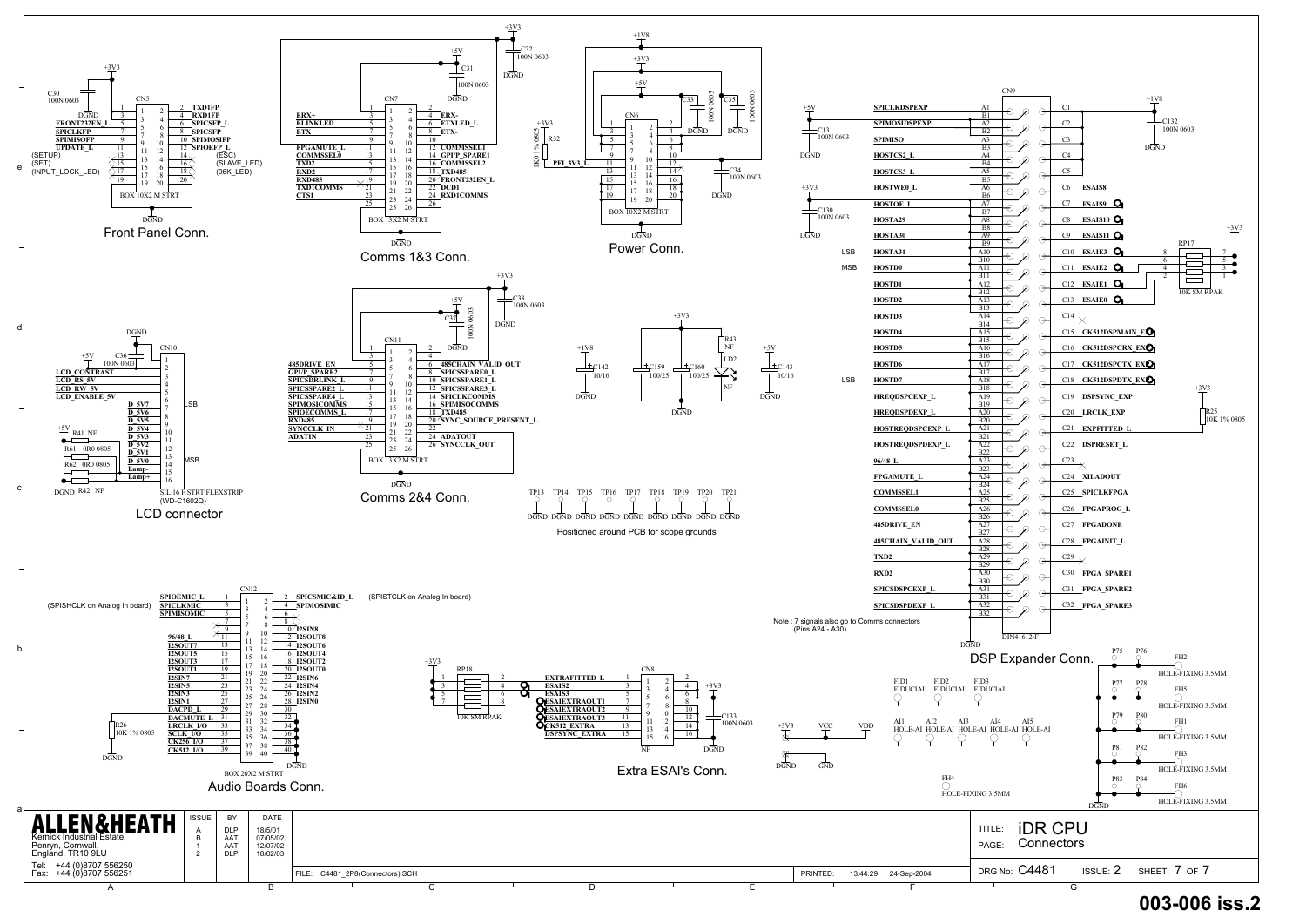![](_page_6_Figure_0.jpeg)

## D35 **003-006 iss.2**